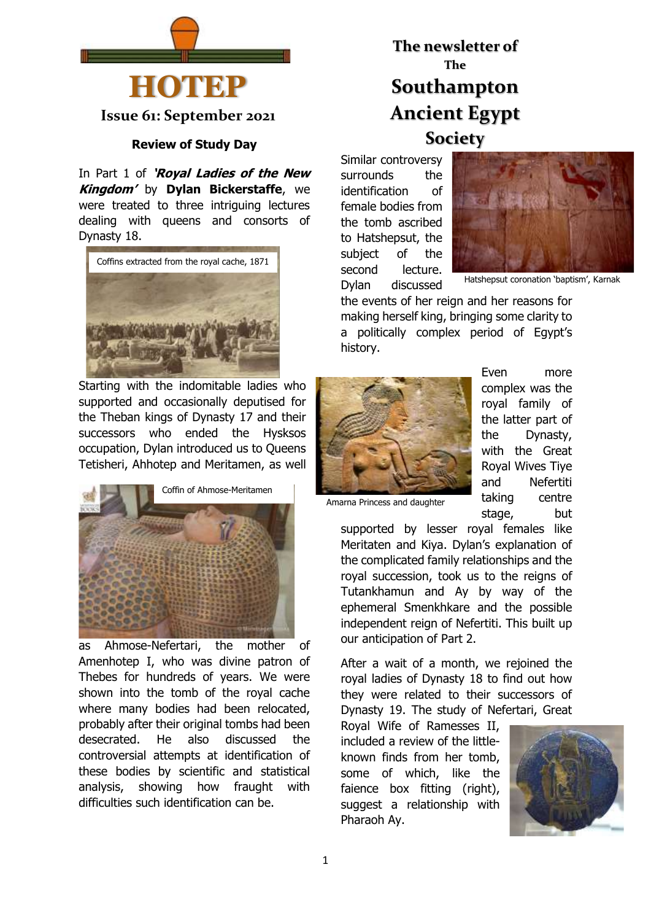

**Issue 61: September 2021**

# **Review of Study Day**

In Part 1 of **'Royal Ladies of the New Kingdom'** by **Dylan Bickerstaffe**, we were treated to three intriguing lectures dealing with queens and consorts of Dynasty 18.



Starting with the indomitable ladies who supported and occasionally deputised for the Theban kings of Dynasty 17 and their successors who ended the Hysksos occupation, Dylan introduced us to Queens Tetisheri, Ahhotep and Meritamen, as well



as Ahmose-Nefertari, the mother of Amenhotep I, who was divine patron of Thebes for hundreds of years. We were shown into the tomb of the royal cache where many bodies had been relocated, probably after their original tombs had been desecrated. He also discussed the controversial attempts at identification of these bodies by scientific and statistical analysis, showing how fraught with difficulties such identification can be.

# **The newsletter of The Southampton Ancient Egypt Society**

Similar controversy surrounds the identification of female bodies from the tomb ascribed to Hatshepsut, the subject of the second lecture. Dylan discussed



Hatshepsut coronation 'baptism', Karnak

the events of her reign and her reasons for making herself king, bringing some clarity to a politically complex period of Egypt's history.



Even more complex was the royal family of the latter part of the Dynasty, with the Great Royal Wives Tiye and Nefertiti taking centre stage, but

Amarna Princess and daughter

supported by lesser royal females like Meritaten and Kiya. Dylan's explanation of the complicated family relationships and the royal succession, took us to the reigns of Tutankhamun and Ay by way of the ephemeral Smenkhkare and the possible independent reign of Nefertiti. This built up our anticipation of Part 2.

After a wait of a month, we rejoined the royal ladies of Dynasty 18 to find out how they were related to their successors of Dynasty 19. The study of Nefertari, Great

Royal Wife of Ramesses II, included a review of the littleknown finds from her tomb, some of which, like the faience box fitting (right), suggest a relationship with Pharaoh Ay.

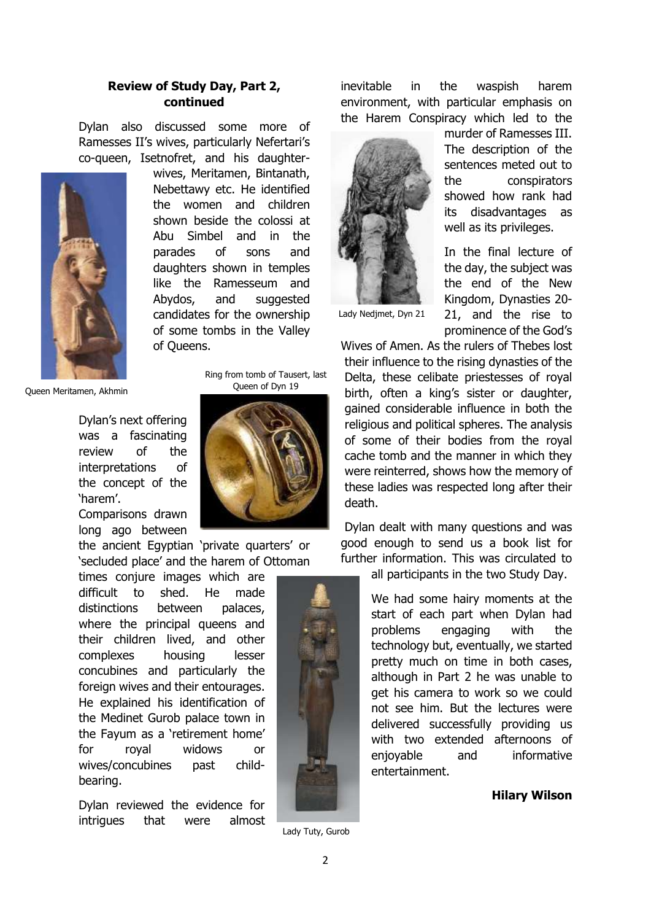# **Review of Study Day, Part 2, continued**

Dylan also discussed some more of Ramesses II's wives, particularly Nefertari's co-queen, Isetnofret, and his daughter-



wives, Meritamen, Bintanath, Nebettawy etc. He identified the women and children shown beside the colossi at Abu Simbel and in the parades of sons and daughters shown in temples like the Ramesseum and Abydos, and suggested candidates for the ownership of some tombs in the Valley of Queens.

Queen Meritamen, Akhmin

Dylan's next offering was a fascinating review of the interpretations of the concept of the 'harem'.

Comparisons drawn long ago between



Ring from tomb of Tausert, last Queen of Dyn 19

the ancient Egyptian 'private quarters' or 'secluded place' and the harem of Ottoman

times conjure images which are difficult to shed. He made distinctions between palaces, where the principal queens and their children lived, and other complexes housing lesser concubines and particularly the foreign wives and their entourages. He explained his identification of the Medinet Gurob palace town in the Fayum as a 'retirement home' for royal widows or wives/concubines past childbearing.

Dylan reviewed the evidence for intrigues that were almost inevitable in the waspish harem environment, with particular emphasis on the Harem Conspiracy which led to the



murder of Ramesses III. The description of the sentences meted out to the conspirators showed how rank had its disadvantages as well as its privileges.

In the final lecture of the day, the subject was the end of the New Kingdom, Dynasties 20- 21, and the rise to prominence of the God's

Lady Nedjmet, Dyn 21

Wives of Amen. As the rulers of Thebes lost their influence to the rising dynasties of the Delta, these celibate priestesses of royal birth, often a king's sister or daughter, gained considerable influence in both the religious and political spheres. The analysis of some of their bodies from the royal cache tomb and the manner in which they were reinterred, shows how the memory of these ladies was respected long after their death.

Dylan dealt with many questions and was good enough to send us a book list for further information. This was circulated to

all participants in the two Study Day.

We had some hairy moments at the start of each part when Dylan had problems engaging with the technology but, eventually, we started pretty much on time in both cases, although in Part 2 he was unable to get his camera to work so we could not see him. But the lectures were delivered successfully providing us with two extended afternoons of enjoyable and informative entertainment.

**Hilary Wilson**

Lady Tuty, Gurob

2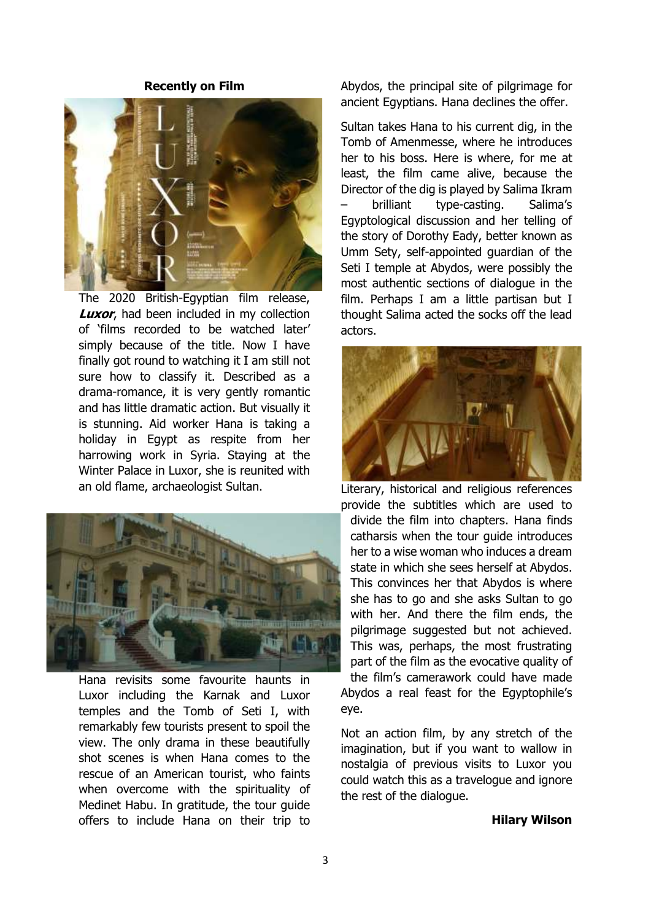## **Recently on Film**



The 2020 British-Egyptian film release, **Luxor**, had been included in my collection of 'films recorded to be watched later' simply because of the title. Now I have finally got round to watching it I am still not sure how to classify it. Described as a drama-romance, it is very gently romantic and has little dramatic action. But visually it is stunning. Aid worker Hana is taking a holiday in Egypt as respite from her harrowing work in Syria. Staying at the Winter Palace in Luxor, she is reunited with an old flame, archaeologist Sultan.



Hana revisits some favourite haunts in Luxor including the Karnak and Luxor temples and the Tomb of Seti I, with remarkably few tourists present to spoil the view. The only drama in these beautifully shot scenes is when Hana comes to the rescue of an American tourist, who faints when overcome with the spirituality of Medinet Habu. In gratitude, the tour guide offers to include Hana on their trip to Abydos, the principal site of pilgrimage for ancient Egyptians. Hana declines the offer.

Sultan takes Hana to his current dig, in the Tomb of Amenmesse, where he introduces her to his boss. Here is where, for me at least, the film came alive, because the Director of the dig is played by Salima Ikram – brilliant type-casting. Salima's Egyptological discussion and her telling of the story of Dorothy Eady, better known as Umm Sety, self-appointed guardian of the Seti I temple at Abydos, were possibly the most authentic sections of dialogue in the film. Perhaps I am a little partisan but I thought Salima acted the socks off the lead actors.



Literary, historical and religious references

provide the subtitles which are used to divide the film into chapters. Hana finds catharsis when the tour guide introduces her to a wise woman who induces a dream state in which she sees herself at Abydos. This convinces her that Abydos is where she has to go and she asks Sultan to go with her. And there the film ends, the pilgrimage suggested but not achieved. This was, perhaps, the most frustrating part of the film as the evocative quality of the film's camerawork could have made

Abydos a real feast for the Egyptophile's eye.

Not an action film, by any stretch of the imagination, but if you want to wallow in nostalgia of previous visits to Luxor you could watch this as a travelogue and ignore the rest of the dialogue.

# **Hilary Wilson**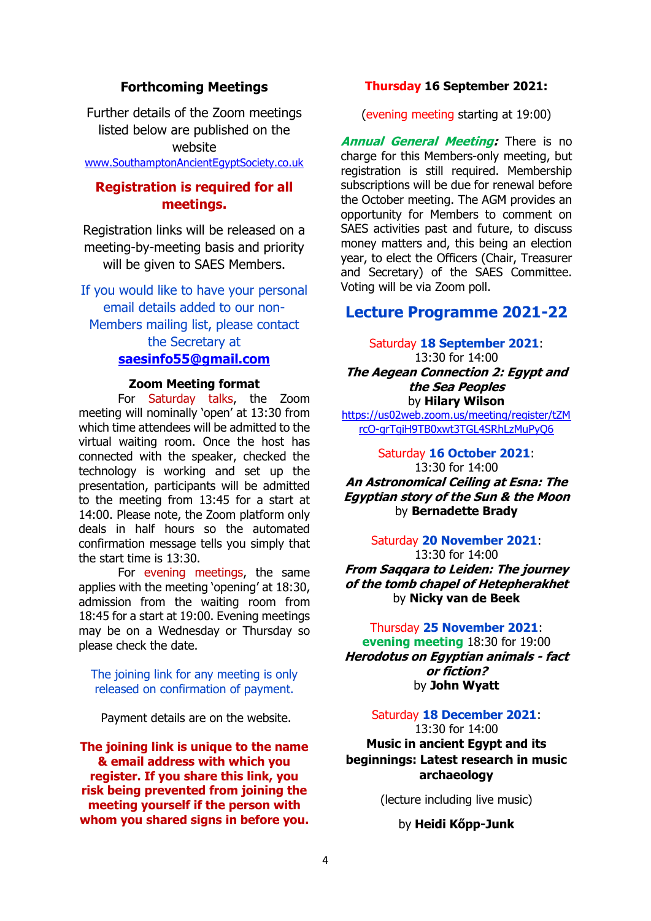# **Forthcoming Meetings**

Further details of the Zoom meetings listed below are published on the website [www.SouthamptonAncientEgyptSociety.co.uk](http://www.southamptonancientegyptsociety.co.uk/)

# **Registration is required for all meetings.**

Registration links will be released on a meeting-by-meeting basis and priority will be given to SAES Members.

If you would like to have your personal email details added to our non-Members mailing list, please contact the Secretary at **[saesinfo55@gmail.com](mailto:saesinfo55@gmail.com)**

## **Zoom Meeting format**

For Saturday talks, the Zoom meeting will nominally 'open' at 13:30 from which time attendees will be admitted to the virtual waiting room. Once the host has connected with the speaker, checked the technology is working and set up the presentation, participants will be admitted to the meeting from 13:45 for a start at 14:00. Please note, the Zoom platform only deals in half hours so the automated confirmation message tells you simply that the start time is 13:30.

For evening meetings, the same applies with the meeting 'opening' at 18:30, admission from the waiting room from 18:45 for a start at 19:00. Evening meetings may be on a Wednesday or Thursday so please check the date.

# The joining link for any meeting is only released on confirmation of payment.

Payment details are on the website.

**The joining link is unique to the name & email address with which you register. If you share this link, you risk being prevented from joining the meeting yourself if the person with whom you shared signs in before you.**

# **Thursday 16 September 2021:**

(evening meeting starting at 19:00)

**Annual General Meeting:** There is no charge for this Members-only meeting, but registration is still required. Membership subscriptions will be due for renewal before the October meeting. The AGM provides an opportunity for Members to comment on SAES activities past and future, to discuss money matters and, this being an election year, to elect the Officers (Chair, Treasurer and Secretary) of the SAES Committee. Voting will be via Zoom poll.

# **Lecture Programme 2021-22**

Saturday **18 September 2021**:

13:30 for 14:00 **The Aegean Connection 2: Egypt and the Sea Peoples** by **Hilary Wilson**

[https://us02web.zoom.us/meeting/register/tZM](https://us02web.zoom.us/meeting/register/tZMrcO-grTgiH9TB0xwt3TGL4SRhLzMuPyQ6) [rcO-grTgiH9TB0xwt3TGL4SRhLzMuPyQ6](https://us02web.zoom.us/meeting/register/tZMrcO-grTgiH9TB0xwt3TGL4SRhLzMuPyQ6)

Saturday **16 October 2021**: 13:30 for 14:00 **An Astronomical Ceiling at Esna: The Egyptian story of the Sun & the Moon** by **Bernadette Brady**

Saturday **20 November 2021**:

13:30 for 14:00 **From Saqqara to Leiden: The journey of the tomb chapel of Hetepherakhet** by **Nicky van de Beek**

# Thursday **25 November 2021**:

**evening meeting** 18:30 for 19:00 **Herodotus on Egyptian animals - fact or fiction?** by **John Wyatt**

# Saturday **18 December 2021**:

13:30 for 14:00 **Music in ancient Egypt and its beginnings: Latest research in music archaeology** 

(lecture including live music)

by **Heidi Kőpp-Junk**